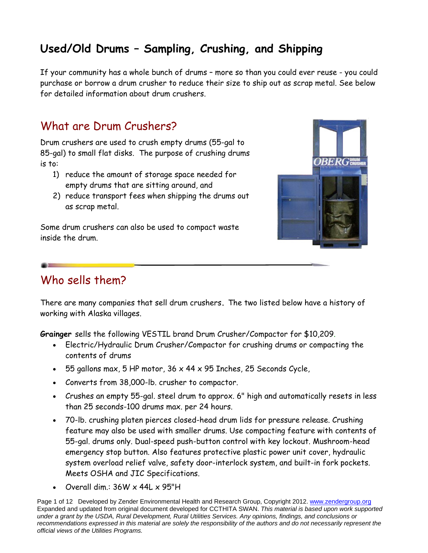## **Used/Old Drums – Sampling, Crushing, and Shipping**

If your community has a whole bunch of drums – more so than you could ever reuse - you could purchase or borrow a drum crusher to reduce their size to ship out as scrap metal. See below for detailed information about drum crushers.

## What are Drum Crushers?

Drum crushers are used to crush empty drums (55-gal to 85-gal) to small flat disks. The purpose of crushing drums is to:

- 1) reduce the amount of storage space needed for empty drums that are sitting around, and
- 2) reduce transport fees when shipping the drums out as scrap metal.

Some drum crushers can also be used to compact waste inside the drum.



## Who sells them?

There are many companies that sell drum crushers**.** The two listed below have a history of working with Alaska villages.

**Grainger** sells the following VESTIL brand Drum Crusher/Compactor for \$10,209.

- Electric/Hydraulic Drum Crusher/Compactor for crushing drums or compacting the contents of drums
- $-55$  gallons max, 5 HP motor, 36  $\times$  44  $\times$  95 Inches, 25 Seconds Cycle,
- Converts from 38,000-lb. crusher to compactor.
- Crushes an empty 55-gal. steel drum to approx. 6" high and automatically resets in less than 25 seconds-100 drums max. per 24 hours.
- 70-lb. crushing platen pierces closed-head drum lids for pressure release. Crushing feature may also be used with smaller drums. Use compacting feature with contents of 55-gal. drums only. Dual-speed push-button control with key lockout. Mushroom-head emergency stop button. Also features protective plastic power unit cover, hydraulic system overload relief valve, safety door-interlock system, and built-in fork pockets. Meets OSHA and JIC Specifications.
- Overall dim.: 36W x 44L x 95"H

Page 1 of 12 Developed by Zender Environmental Health and Research Group, Copyright 2012. www.zendergroup.org Expanded and updated from original document developed for CCTHITA SWAN. *This material is based upon work supported under a grant by the USDA, Rural Development, Rural Utilities Services. Any opinions, findings, and conclusions or recommendations expressed in this material are solely the responsibility of the authors and do not necessarily represent the official views of the Utilities Programs.*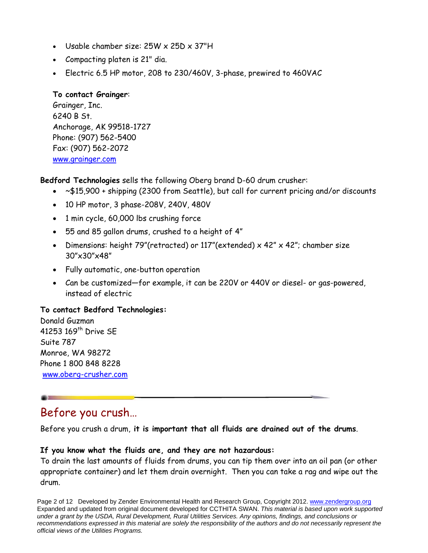- Usable chamber size: 25W x 25D x 37"H
- Compacting platen is 21" dia.
- Electric 6.5 HP motor, 208 to 230/460V, 3-phase, prewired to 460VAC

### **To contact Grainger**:

Grainger, Inc. 6240 B St. Anchorage, AK 99518-1727 Phone: (907) 562-5400 Fax: (907) 562-2072 www.grainger.com

**Bedford Technologies** sells the following Oberg brand D-60 drum crusher:

- ~\$15,900 + shipping (2300 from Seattle), but call for current pricing and/or discounts
- 10 HP motor, 3 phase-208V, 240V, 480V
- 1 min cycle, 60,000 lbs crushing force
- 55 and 85 gallon drums, crushed to a height of 4"
- Dimensions: height 79"(retracted) or  $117$ "(extended) x 42" x 42"; chamber size 30"x30"x48"
- Fully automatic, one-button operation
- Can be customized—for example, it can be 220V or 440V or diesel- or gas-powered, instead of electric

### **To contact Bedford Technologies:**

Donald Guzman 41253 169th Drive SE Suite 787 Monroe, WA 98272 Phone 1 800 848 8228 www.oberg-crusher.com

## Before you crush…

Before you crush a drum, **it is important that all fluids are drained out of the drums**.

### **If you know what the fluids are, and they are not hazardous:**

To drain the last amounts of fluids from drums, you can tip them over into an oil pan (or other appropriate container) and let them drain overnight. Then you can take a rag and wipe out the drum.

Page 2 of 12 Developed by Zender Environmental Health and Research Group, Copyright 2012. www.zendergroup.org Expanded and updated from original document developed for CCTHITA SWAN. *This material is based upon work supported under a grant by the USDA, Rural Development, Rural Utilities Services. Any opinions, findings, and conclusions or recommendations expressed in this material are solely the responsibility of the authors and do not necessarily represent the official views of the Utilities Programs.*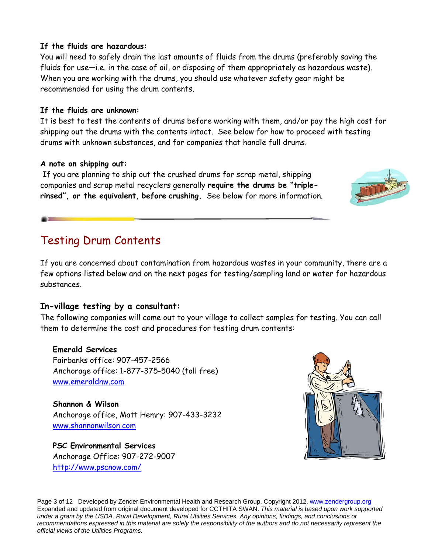### **If the fluids are hazardous:**

You will need to safely drain the last amounts of fluids from the drums (preferably saving the fluids for use—i.e. in the case of oil, or disposing of them appropriately as hazardous waste). When you are working with the drums, you should use whatever safety gear might be recommended for using the drum contents.

### **If the fluids are unknown:**

It is best to test the contents of drums before working with them, and/or pay the high cost for shipping out the drums with the contents intact. See below for how to proceed with testing drums with unknown substances, and for companies that handle full drums.

### **A note on shipping out:**

 If you are planning to ship out the crushed drums for scrap metal, shipping companies and scrap metal recyclers generally **require the drums be "triplerinsed", or the equivalent, before crushing.** See below for more information.

## Testing Drum Contents

If you are concerned about contamination from hazardous wastes in your community, there are a few options listed below and on the next pages for testing/sampling land or water for hazardous substances.

### **In-village testing by a consultant:**

The following companies will come out to your village to collect samples for testing. You can call them to determine the cost and procedures for testing drum contents:

### **Emerald Services**

Fairbanks office: 907-457-2566 Anchorage office: 1-877-375-5040 (toll free) www.emeraldnw.com

## **Shannon & Wilson**

Anchorage office, Matt Hemry: 907-433-3232 www.shannonwilson.com

**PSC Environmental Services**  Anchorage Office: 907-272-9007 http://www.pscnow.com/



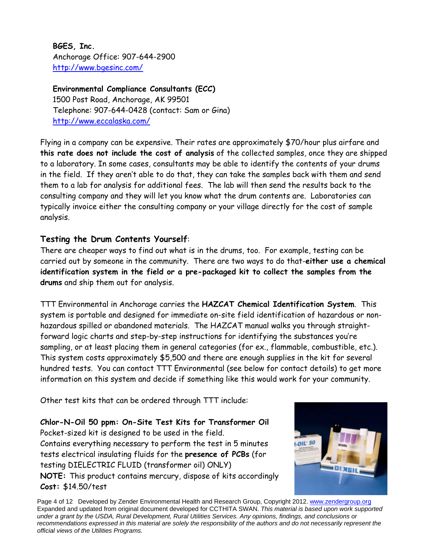**BGES, Inc.**  Anchorage Office: 907-644-2900 http://www.bgesinc.com/

**Environmental Compliance Consultants (ECC)** 1500 Post Road, Anchorage, AK 99501 Telephone: 907-644-0428 (contact: Sam or Gina) http://www.eccalaska.com/

Flying in a company can be expensive. Their rates are approximately \$70/hour plus airfare and **this rate does not include the cost of analysis** of the collected samples, once they are shipped to a laboratory. In some cases, consultants may be able to identify the contents of your drums in the field. If they aren't able to do that, they can take the samples back with them and send them to a lab for analysis for additional fees. The lab will then send the results back to the consulting company and they will let you know what the drum contents are. Laboratories can typically invoice either the consulting company or your village directly for the cost of sample analysis.

### **Testing the Drum Contents Yourself**:

There are cheaper ways to find out what is in the drums, too. For example, testing can be carried out by someone in the community. There are two ways to do that-**either use a chemical identification system in the field or a pre-packaged kit to collect the samples from the drums** and ship them out for analysis.

TTT Environmental in Anchorage carries the **HAZCAT Chemical Identification System**. This system is portable and designed for immediate on-site field identification of hazardous or nonhazardous spilled or abandoned materials. The HAZCAT manual walks you through straightforward logic charts and step-by-step instructions for identifying the substances you're sampling, or at least placing them in general categories (for ex., flammable, combustible, etc.). This system costs approximately \$5,500 and there are enough supplies in the kit for several hundred tests. You can contact TTT Environmental (see below for contact details) to get more information on this system and decide if something like this would work for your community.

Other test kits that can be ordered through TTT include:

**Chlor-N-Oil 50 ppm: On-Site Test Kits for Transformer Oil**  Pocket-sized kit is designed to be used in the field. Contains everything necessary to perform the test in 5 minutes tests electrical insulating fluids for the **presence of PCBs** (for testing DIELECTRIC FLUID (transformer oil) ONLY) **NOTE:** This product contains mercury, dispose of kits accordingly **Cost:** \$14.50/test



Page 4 of 12 Developed by Zender Environmental Health and Research Group, Copyright 2012. www.zendergroup.org Expanded and updated from original document developed for CCTHITA SWAN. *This material is based upon work supported under a grant by the USDA, Rural Development, Rural Utilities Services. Any opinions, findings, and conclusions or recommendations expressed in this material are solely the responsibility of the authors and do not necessarily represent the official views of the Utilities Programs.*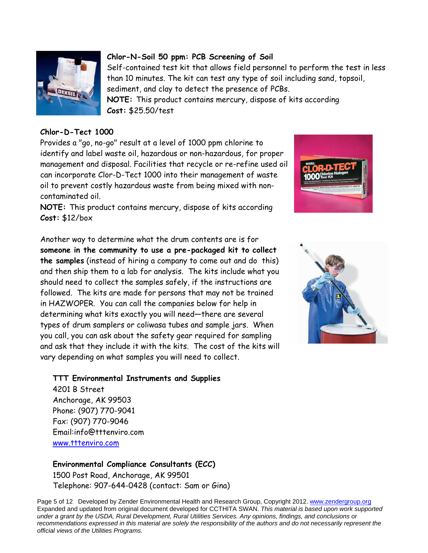

### **Chlor-N-Soil 50 ppm: PCB Screening of Soil**

Self-contained test kit that allows field personnel to perform the test in less than 10 minutes. The kit can test any type of soil including sand, topsoil, sediment, and clay to detect the presence of PCBs.

**NOTE:** This product contains mercury, dispose of kits according **Cost:** \$25.50/test

#### **Chlor-D-Tect 1000**

Provides a "go, no-go" result at a level of 1000 ppm chlorine to identify and label waste oil, hazardous or non-hazardous, for proper management and disposal. Facilities that recycle or re-refine used oil can incorporate Clor-D-Tect 1000 into their management of waste oil to prevent costly hazardous waste from being mixed with noncontaminated oil.



**NOTE:** This product contains mercury, dispose of kits according **Cost:** \$12/box

Another way to determine what the drum contents are is for **someone in the community to use a pre-packaged kit to collect the samples** (instead of hiring a company to come out and do this) and then ship them to a lab for analysis. The kits include what you should need to collect the samples safely, if the instructions are followed. The kits are made for persons that may not be trained in HAZWOPER. You can call the companies below for help in determining what kits exactly you will need—there are several types of drum samplers or coliwasa tubes and sample jars. When you call, you can ask about the safety gear required for sampling and ask that they include it with the kits. The cost of the kits will vary depending on what samples you will need to collect.



**TTT Environmental Instruments and Supplies** 

4201 B Street Anchorage, AK 99503 Phone: (907) 770-9041 Fax: (907) 770-9046 Email:info@tttenviro.com www.tttenviro.com

**Environmental Compliance Consultants (ECC)** 1500 Post Road, Anchorage, AK 99501 Telephone: 907-644-0428 (contact: Sam or Gina)

Page 5 of 12 Developed by Zender Environmental Health and Research Group, Copyright 2012. www.zendergroup.org Expanded and updated from original document developed for CCTHITA SWAN. *This material is based upon work supported under a grant by the USDA, Rural Development, Rural Utilities Services. Any opinions, findings, and conclusions or recommendations expressed in this material are solely the responsibility of the authors and do not necessarily represent the official views of the Utilities Programs.* 

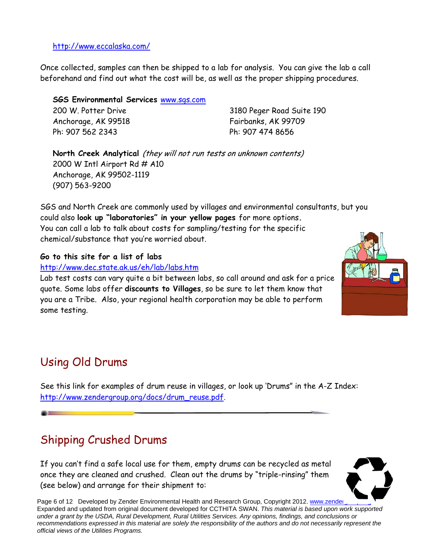http://www.eccalaska.com/

Once collected, samples can then be shipped to a lab for analysis. You can give the lab a call beforehand and find out what the cost will be, as well as the proper shipping procedures.

**SGS Environmental Services** www.sgs.com

200 W. Potter Drive Anchorage, AK 99518 Ph: 907 562 2343

3180 Peger Road Suite 190 Fairbanks, AK 99709 Ph: 907 474 8656

**North Creek Analytical** (they will not run tests on unknown contents) 2000 W Intl Airport Rd # A10 Anchorage, AK 99502-1119 (907) 563-9200

SGS and North Creek are commonly used by villages and environmental consultants, but you could also **look up "laboratories" in your yellow pages** for more options**.**  You can call a lab to talk about costs for sampling/testing for the specific chemical/substance that you're worried about.

**Go to this site for a list of labs**

http://www.dec.state.ak.us/eh/lab/labs.htm

Lab test costs can vary quite a bit between labs, so call around and ask for a price quote. Some labs offer **discounts to Villages**, so be sure to let them know that you are a Tribe. Also, your regional health corporation may be able to perform some testing.

# Using Old Drums

See this link for examples of drum reuse in villages, or look up 'Drums" in the A-Z Index: http://www.zendergroup.org/docs/drum\_reuse.pdf.

## Shipping Crushed Drums

If you can't find a safe local use for them, empty drums can be recycled as metal once they are cleaned and crushed. Clean out the drums by "triple-rinsing" them (see below) and arrange for their shipment to:



Page 6 of 12 Developed by Zender Environmental Health and Research Group, Copyright 2012. www.zender Expanded and updated from original document developed for CCTHITA SWAN. *This material is based upon work supported under a grant by the USDA, Rural Development, Rural Utilities Services. Any opinions, findings, and conclusions or recommendations expressed in this material are solely the responsibility of the authors and do not necessarily represent the official views of the Utilities Programs.* 

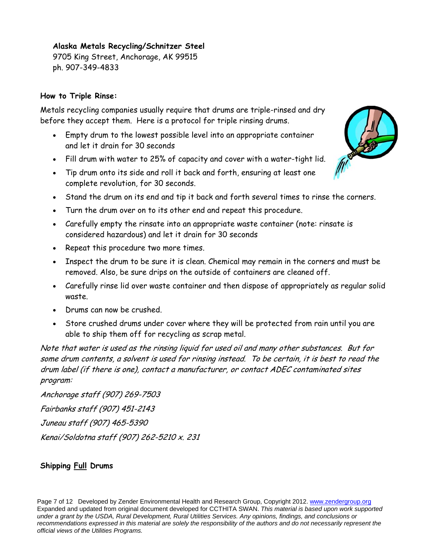### **Alaska Metals Recycling/Schnitzer Steel**

9705 King Street, Anchorage, AK 99515 ph. 907-349-4833

### **How to Triple Rinse:**

Metals recycling companies usually require that drums are triple-rinsed and dry before they accept them. Here is a protocol for triple rinsing drums.

- Empty drum to the lowest possible level into an appropriate container and let it drain for 30 seconds
- Fill drum with water to 25% of capacity and cover with a water-tight lid.
- Tip drum onto its side and roll it back and forth, ensuring at least one complete revolution, for 30 seconds.
- Stand the drum on its end and tip it back and forth several times to rinse the corners.
- Turn the drum over on to its other end and repeat this procedure.
- Carefully empty the rinsate into an appropriate waste container (note: rinsate is considered hazardous) and let it drain for 30 seconds
- Repeat this procedure two more times.
- Inspect the drum to be sure it is clean. Chemical may remain in the corners and must be removed. Also, be sure drips on the outside of containers are cleaned off.
- Carefully rinse lid over waste container and then dispose of appropriately as regular solid waste.
- Drums can now be crushed.
- Store crushed drums under cover where they will be protected from rain until you are able to ship them off for recycling as scrap metal.

Note that water is used as the rinsing liquid for used oil and many other substances. But for some drum contents, a solvent is used for rinsing instead. To be certain, it is best to read the drum label (if there is one), contact a manufacturer, or contact ADEC contaminated sites program:

Anchorage staff (907) 269-7503 Fairbanks staff (907) 451-2143 Juneau staff (907) 465-5390 Kenai/Soldotna staff (907) 262-5210 x. 231

### **Shipping Full Drums**

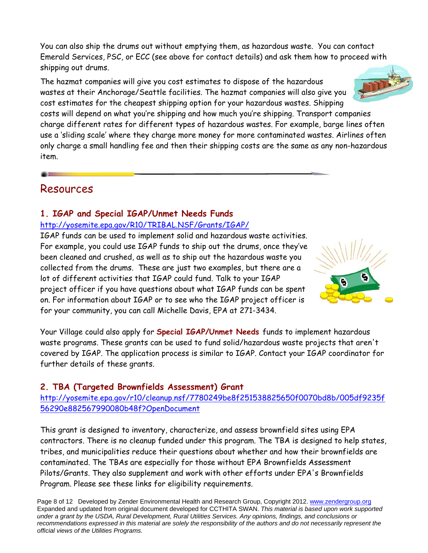You can also ship the drums out without emptying them, as hazardous waste. You can contact Emerald Services, PSC, or ECC (see above for contact details) and ask them how to proceed with shipping out drums.

The hazmat companies will give you cost estimates to dispose of the hazardous wastes at their Anchorage/Seattle facilities. The hazmat companies will also give you cost estimates for the cheapest shipping option for your hazardous wastes. Shipping costs will depend on what you're shipping and how much you're shipping. Transport companies charge different rates for different types of hazardous wastes. For example, barge lines often use a 'sliding scale' where they charge more money for more contaminated wastes. Airlines often only charge a small handling fee and then their shipping costs are the same as any non-hazardous item.

### Resources

### **1. IGAP and Special IGAP/Unmet Needs Funds**

### http://yosemite.epa.gov/R10/TRIBAL.NSF/Grants/IGAP/

IGAP funds can be used to implement solid and hazardous waste activities. For example, you could use IGAP funds to ship out the drums, once they've been cleaned and crushed, as well as to ship out the hazardous waste you collected from the drums. These are just two examples, but there are a lot of different activities that IGAP could fund. Talk to your IGAP project officer if you have questions about what IGAP funds can be spent on. For information about IGAP or to see who the IGAP project officer is for your community, you can call Michelle Davis, EPA at 271-3434.

Your Village could also apply for **Special IGAP/Unmet Needs** funds to implement hazardous waste programs. These grants can be used to fund solid/hazardous waste projects that aren't covered by IGAP. The application process is similar to IGAP. Contact your IGAP coordinator for further details of these grants.

### **2. TBA (Targeted Brownfields Assessment) Grant**

http://yosemite.epa.gov/r10/cleanup.nsf/7780249be8f251538825650f0070bd8b/005df9235f 56290e882567990080b48f?OpenDocument

This grant is designed to inventory, characterize, and assess brownfield sites using EPA contractors. There is no cleanup funded under this program. The TBA is designed to help states, tribes, and municipalities reduce their questions about whether and how their brownfields are contaminated. The TBAs are especially for those without EPA Brownfields Assessment Pilots/Grants. They also supplement and work with other efforts under EPA's Brownfields Program. Please see these links for eligibility requirements.

Page 8 of 12 Developed by Zender Environmental Health and Research Group, Copyright 2012. www.zendergroup.org Expanded and updated from original document developed for CCTHITA SWAN. *This material is based upon work supported under a grant by the USDA, Rural Development, Rural Utilities Services. Any opinions, findings, and conclusions or recommendations expressed in this material are solely the responsibility of the authors and do not necessarily represent the official views of the Utilities Programs.* 



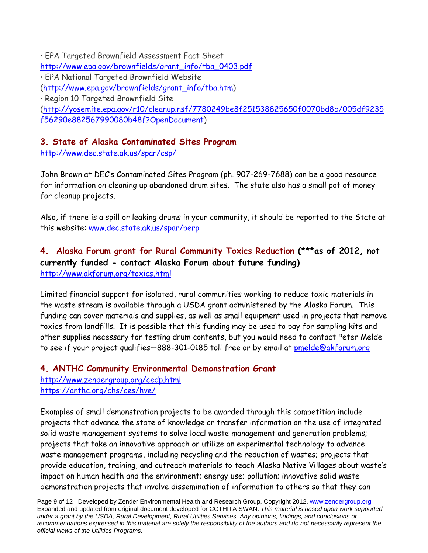• EPA Targeted Brownfield Assessment Fact Sheet http://www.epa.gov/brownfields/grant\_info/tba\_0403.pdf • EPA National Targeted Brownfield Website (http://www.epa.gov/brownfields/grant\_info/tba.htm) • Region 10 Targeted Brownfield Site (http://yosemite.epa.gov/r10/cleanup.nsf/7780249be8f251538825650f0070bd8b/005df9235 f56290e882567990080b48f?OpenDocument)

### **3. State of Alaska Contaminated Sites Program**

http://www.dec.state.ak.us/spar/csp/

John Brown at DEC's Contaminated Sites Program (ph. 907-269-7688) can be a good resource for information on cleaning up abandoned drum sites. The state also has a small pot of money for cleanup projects.

Also, if there is a spill or leaking drums in your community, it should be reported to the State at this website: www.dec.state.ak.us/spar/perp

### **4. Alaska Forum grant for Rural Community Toxics Reduction (\*\*\*as of 2012, not currently funded - contact Alaska Forum about future funding)**  http://www.akforum.org/toxics.html

Limited financial support for isolated, rural communities working to reduce toxic materials in the waste stream is available through a USDA grant administered by the Alaska Forum. This funding can cover materials and supplies, as well as small equipment used in projects that remove toxics from landfills. It is possible that this funding may be used to pay for sampling kits and other supplies necessary for testing drum contents, but you would need to contact Peter Melde to see if your project qualifies—888-301-0185 toll free or by email at pmelde@akforum.org

### **4. ANTHC Community Environmental Demonstration Grant**  http://www.zendergroup.org/cedp.html https://anthc.org/chs/ces/hve/

Examples of small demonstration projects to be awarded through this competition include projects that advance the state of knowledge or transfer information on the use of integrated solid waste management systems to solve local waste management and generation problems; projects that take an innovative approach or utilize an experimental technology to advance waste management programs, including recycling and the reduction of wastes; projects that provide education, training, and outreach materials to teach Alaska Native Villages about waste's impact on human health and the environment; energy use; pollution; innovative solid waste demonstration projects that involve dissemination of information to others so that they can

Page 9 of 12 Developed by Zender Environmental Health and Research Group, Copyright 2012. www.zendergroup.org Expanded and updated from original document developed for CCTHITA SWAN. *This material is based upon work supported under a grant by the USDA, Rural Development, Rural Utilities Services. Any opinions, findings, and conclusions or recommendations expressed in this material are solely the responsibility of the authors and do not necessarily represent the official views of the Utilities Programs.*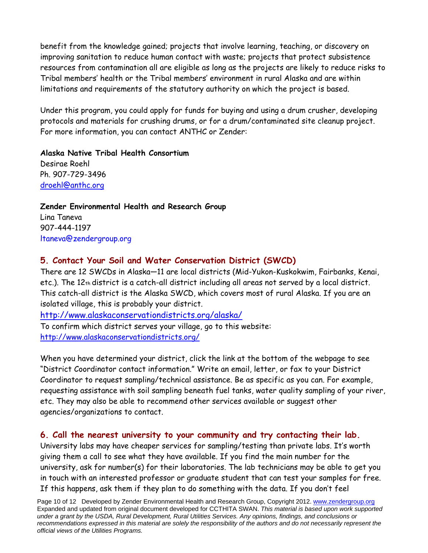benefit from the knowledge gained; projects that involve learning, teaching, or discovery on improving sanitation to reduce human contact with waste; projects that protect subsistence resources from contamination all are eligible as long as the projects are likely to reduce risks to Tribal members' health or the Tribal members' environment in rural Alaska and are within limitations and requirements of the statutory authority on which the project is based.

Under this program, you could apply for funds for buying and using a drum crusher, developing protocols and materials for crushing drums, or for a drum/contaminated site cleanup project. For more information, you can contact ANTHC or Zender:

**Alaska Native Tribal Health Consortium**  Desirae Roehl Ph. 907-729-3496 droehl@anthc.org

**Zender Environmental Health and Research Group**  Lina Taneva 907-444-1197 ltaneva@zendergroup.org

### **5. Contact Your Soil and Water Conservation District (SWCD)**

There are 12 SWCDs in Alaska—11 are local districts (Mid-Yukon-Kuskokwim, Fairbanks, Kenai, etc.). The 12th district is a catch-all district including all areas not served by a local district. This catch-all district is the Alaska SWCD, which covers most of rural Alaska. If you are an isolated village, this is probably your district.

http://www.alaskaconservationdistricts.org/alaska/

To confirm which district serves your village, go to this website: http://www.alaskaconservationdistricts.org/

When you have determined your district, click the link at the bottom of the webpage to see "District Coordinator contact information." Write an email, letter, or fax to your District Coordinator to request sampling/technical assistance. Be as specific as you can. For example, requesting assistance with soil sampling beneath fuel tanks, water quality sampling of your river, etc. They may also be able to recommend other services available or suggest other agencies/organizations to contact.

### **6. Call the nearest university to your community and try contacting their lab.**

University labs may have cheaper services for sampling/testing than private labs. It's worth giving them a call to see what they have available. If you find the main number for the university, ask for number(s) for their laboratories. The lab technicians may be able to get you in touch with an interested professor or graduate student that can test your samples for free. If this happens, ask them if they plan to do something with the data. If you don't feel

Page 10 of 12 Developed by Zender Environmental Health and Research Group, Copyright 2012. www.zendergroup.org Expanded and updated from original document developed for CCTHITA SWAN. *This material is based upon work supported under a grant by the USDA, Rural Development, Rural Utilities Services. Any opinions, findings, and conclusions or recommendations expressed in this material are solely the responsibility of the authors and do not necessarily represent the official views of the Utilities Programs.*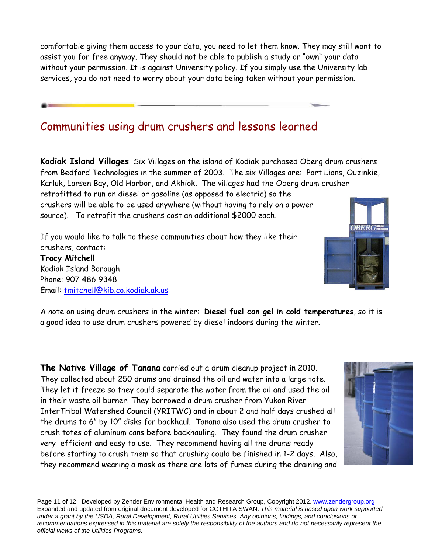comfortable giving them access to your data, you need to let them know. They may still want to assist you for free anyway. They should not be able to publish a study or "own" your data without your permission. It is against University policy. If you simply use the University lab services, you do not need to worry about your data being taken without your permission.

## Communities using drum crushers and lessons learned

**Kodiak Island Villages** Six Villages on the island of Kodiak purchased Oberg drum crushers from Bedford Technologies in the summer of 2003. The six Villages are: Port Lions, Ouzinkie, Karluk, Larsen Bay, Old Harbor, and Akhiok. The villages had the Oberg drum crusher retrofitted to run on diesel or gasoline (as opposed to electric) so the crushers will be able to be used anywhere (without having to rely on a power source). To retrofit the crushers cost an additional \$2000 each.

If you would like to talk to these communities about how they like their crushers, contact: **Tracy Mitchell**  Kodiak Island Borough Phone: 907 486 9348 Email: tmitchell@kib.co.kodiak.ak.us



A note on using drum crushers in the winter: **Diesel fuel can gel in cold temperatures**, so it is a good idea to use drum crushers powered by diesel indoors during the winter.

**The Native Village of Tanana** carried out a drum cleanup project in 2010. They collected about 250 drums and drained the oil and water into a large tote. They let it freeze so they could separate the water from the oil and used the oil in their waste oil burner. They borrowed a drum crusher from Yukon River InterTribal Watershed Council (YRITWC) and in about 2 and half days crushed all the drums to 6" by 10" disks for backhaul. Tanana also used the drum crusher to crush totes of aluminum cans before backhauling. They found the drum crusher very efficient and easy to use. They recommend having all the drums ready before starting to crush them so that crushing could be finished in 1-2 days. Also, they recommend wearing a mask as there are lots of fumes during the draining and



Page 11 of 12 Developed by Zender Environmental Health and Research Group, Copyright 2012. www.zendergroup.org Expanded and updated from original document developed for CCTHITA SWAN. *This material is based upon work supported under a grant by the USDA, Rural Development, Rural Utilities Services. Any opinions, findings, and conclusions or recommendations expressed in this material are solely the responsibility of the authors and do not necessarily represent the official views of the Utilities Programs.*